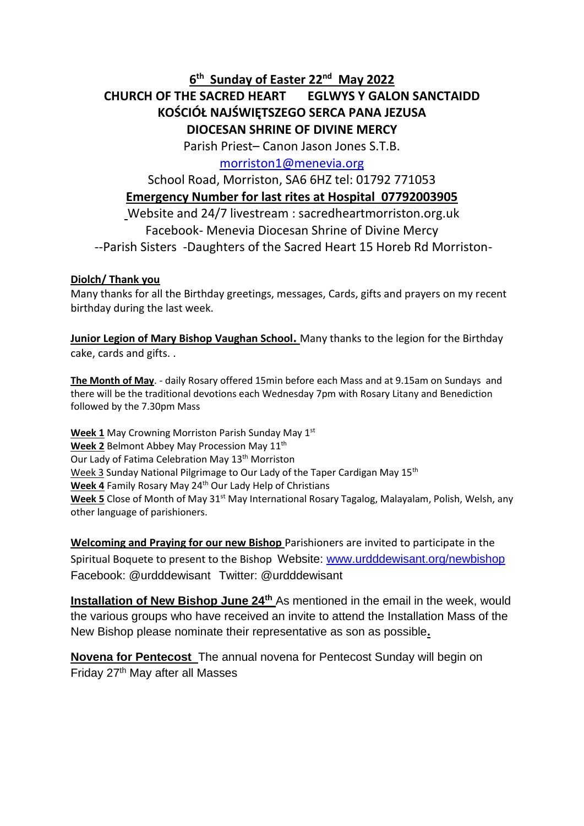**6 th Sunday of Easter 22nd May 2022**

# **CHURCH OF THE SACRED HEART EGLWYS Y GALON SANCTAIDD KOŚCIÓŁ NAJŚWIĘTSZEGO SERCA PANA JEZUSA DIOCESAN SHRINE OF DIVINE MERCY**

Parish Priest– Canon Jason Jones S.T.B.

## [morriston1@menevia.org](mailto:morriston1@menevia.org)

# School Road, Morriston, SA6 6HZ tel: 01792 771053 **Emergency Number for last rites at Hospital 07792003905** Website and 24/7 livestream : sacredheartmorriston.org.uk Facebook- Menevia Diocesan Shrine of Divine Mercy

--Parish Sisters -Daughters of the Sacred Heart 15 Horeb Rd Morriston-

## **Diolch/ Thank you**

Many thanks for all the Birthday greetings, messages, Cards, gifts and prayers on my recent birthday during the last week.

**Junior Legion of Mary Bishop Vaughan School.** Many thanks to the legion for the Birthday cake, cards and gifts. .

**The Month of May**. - daily Rosary offered 15min before each Mass and at 9.15am on Sundays and there will be the traditional devotions each Wednesday 7pm with Rosary Litany and Benediction followed by the 7.30pm Mass

**Week 1** May Crowning Morriston Parish Sunday May 1<sup>st</sup> **Week 2** Belmont Abbey May Procession May 11th Our Lady of Fatima Celebration May 13<sup>th</sup> Morriston Week 3 Sunday National Pilgrimage to Our Lady of the Taper Cardigan May 15<sup>th</sup> Week 4 Family Rosary May 24<sup>th</sup> Our Lady Help of Christians Week 5 Close of Month of May 31<sup>st</sup> May International Rosary Tagalog, Malayalam, Polish, Welsh, any other language of parishioners.

**Welcoming and Praying for our new Bishop** Parishioners are invited to participate in the Spiritual Boquete to present to the Bishop Website: [www.urdddewisant.org/newbishop](http://www.urdddewisant.org/newbishop) Facebook: @urdddewisant Twitter: @urdddewisant

**Installation of New Bishop June 24th** As mentioned in the email in the week, would the various groups who have received an invite to attend the Installation Mass of the New Bishop please nominate their representative as son as possible**.** 

**Novena for Pentecost** The annual novena for Pentecost Sunday will begin on Friday 27th May after all Masses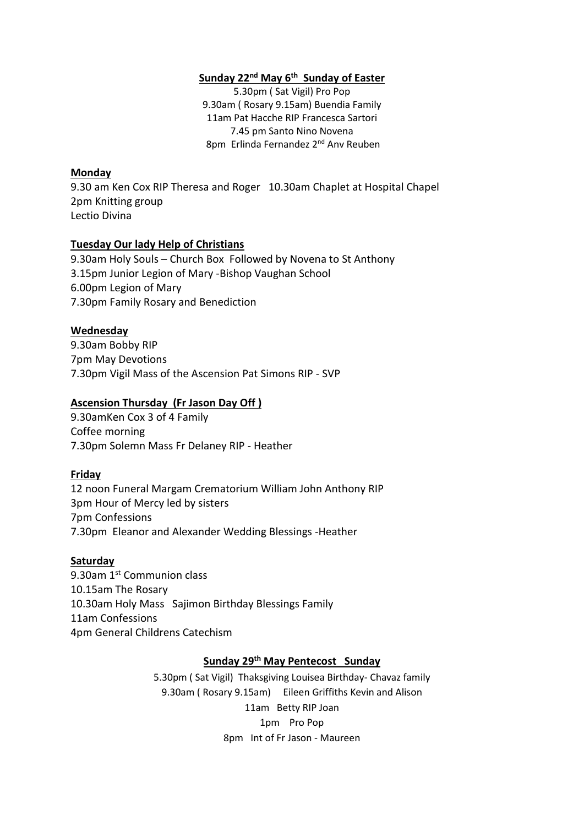### **Sunday 22nd May 6 th Sunday of Easter**

5.30pm ( Sat Vigil) Pro Pop 9.30am ( Rosary 9.15am) Buendia Family 11am Pat Hacche RIP Francesca Sartori 7.45 pm Santo Nino Novena 8pm Erlinda Fernandez 2<sup>nd</sup> Anv Reuben

#### **Monday**

9.30 am Ken Cox RIP Theresa and Roger 10.30am Chaplet at Hospital Chapel 2pm Knitting group Lectio Divina

#### **Tuesday Our lady Help of Christians**

9.30am Holy Souls – Church Box Followed by Novena to St Anthony 3.15pm Junior Legion of Mary -Bishop Vaughan School 6.00pm Legion of Mary 7.30pm Family Rosary and Benediction

### **Wednesday**

9.30am Bobby RIP 7pm May Devotions 7.30pm Vigil Mass of the Ascension Pat Simons RIP - SVP

#### **Ascension Thursday (Fr Jason Day Off )**

9.30amKen Cox 3 of 4 Family Coffee morning 7.30pm Solemn Mass Fr Delaney RIP - Heather

#### **Friday**

12 noon Funeral Margam Crematorium William John Anthony RIP 3pm Hour of Mercy led by sisters 7pm Confessions 7.30pm Eleanor and Alexander Wedding Blessings -Heather

#### **Saturday**

9.30am 1<sup>st</sup> Communion class 10.15am The Rosary 10.30am Holy Mass Sajimon Birthday Blessings Family 11am Confessions 4pm General Childrens Catechism

#### **Sunday 29 th May Pentecost Sunday**

5.30pm ( Sat Vigil) Thaksgiving Louisea Birthday- Chavaz family 9.30am ( Rosary 9.15am) Eileen Griffiths Kevin and Alison 11am Betty RIP Joan 1pm Pro Pop 8pm Int of Fr Jason - Maureen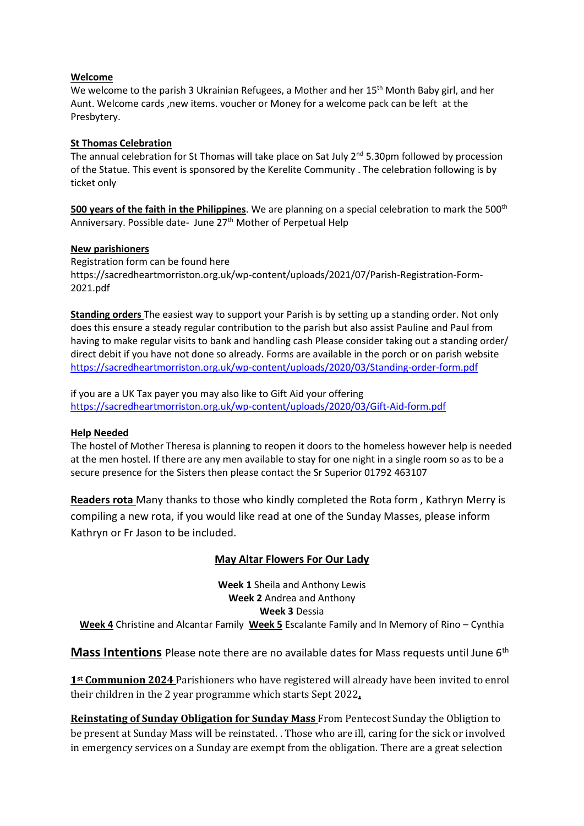#### **Welcome**

We welcome to the parish 3 Ukrainian Refugees, a Mother and her 15<sup>th</sup> Month Baby girl, and her Aunt. Welcome cards ,new items. voucher or Money for a welcome pack can be left at the Presbytery.

#### **St Thomas Celebration**

The annual celebration for St Thomas will take place on Sat July  $2^{nd}$  5.30pm followed by procession of the Statue. This event is sponsored by the Kerelite Community . The celebration following is by ticket only

**500 years of the faith in the Philippines**. We are planning on a special celebration to mark the 500th Anniversary. Possible date- June 27<sup>th</sup> Mother of Perpetual Help

#### **New parishioners**

Registration form can be found here https://sacredheartmorriston.org.uk/wp-content/uploads/2021/07/Parish-Registration-Form-2021.pdf

**Standing orders** The easiest way to support your Parish is by setting up a standing order. Not only does this ensure a steady regular contribution to the parish but also assist Pauline and Paul from having to make regular visits to bank and handling cash Please consider taking out a standing order/ direct debit if you have not done so already. Forms are available in the porch or on parish website <https://sacredheartmorriston.org.uk/wp-content/uploads/2020/03/Standing-order-form.pdf>

if you are a UK Tax payer you may also like to Gift Aid your offering <https://sacredheartmorriston.org.uk/wp-content/uploads/2020/03/Gift-Aid-form.pdf>

#### **Help Needed**

The hostel of Mother Theresa is planning to reopen it doors to the homeless however help is needed at the men hostel. If there are any men available to stay for one night in a single room so as to be a secure presence for the Sisters then please contact the Sr Superior 01792 463107

**Readers rota** Many thanks to those who kindly completed the Rota form , Kathryn Merry is compiling a new rota, if you would like read at one of the Sunday Masses, please inform Kathryn or Fr Jason to be included.

## **May Altar Flowers For Our Lady**

**Week 1** Sheila and Anthony Lewis **Week 2** Andrea and Anthony **Week 3** Dessia

**Week 4** Christine and Alcantar Family **Week 5** Escalante Family and In Memory of Rino – Cynthia

**Mass Intentions** Please note there are no available dates for Mass requests until June 6th

**1st Communion 2024** Parishioners who have registered will already have been invited to enrol their children in the 2 year programme which starts Sept 2022**.** 

**Reinstating of Sunday Obligation for Sunday Mass** From Pentecost Sunday the Obligtion to be present at Sunday Mass will be reinstated. . Those who are ill, caring for the sick or involved in emergency services on a Sunday are exempt from the obligation. There are a great selection